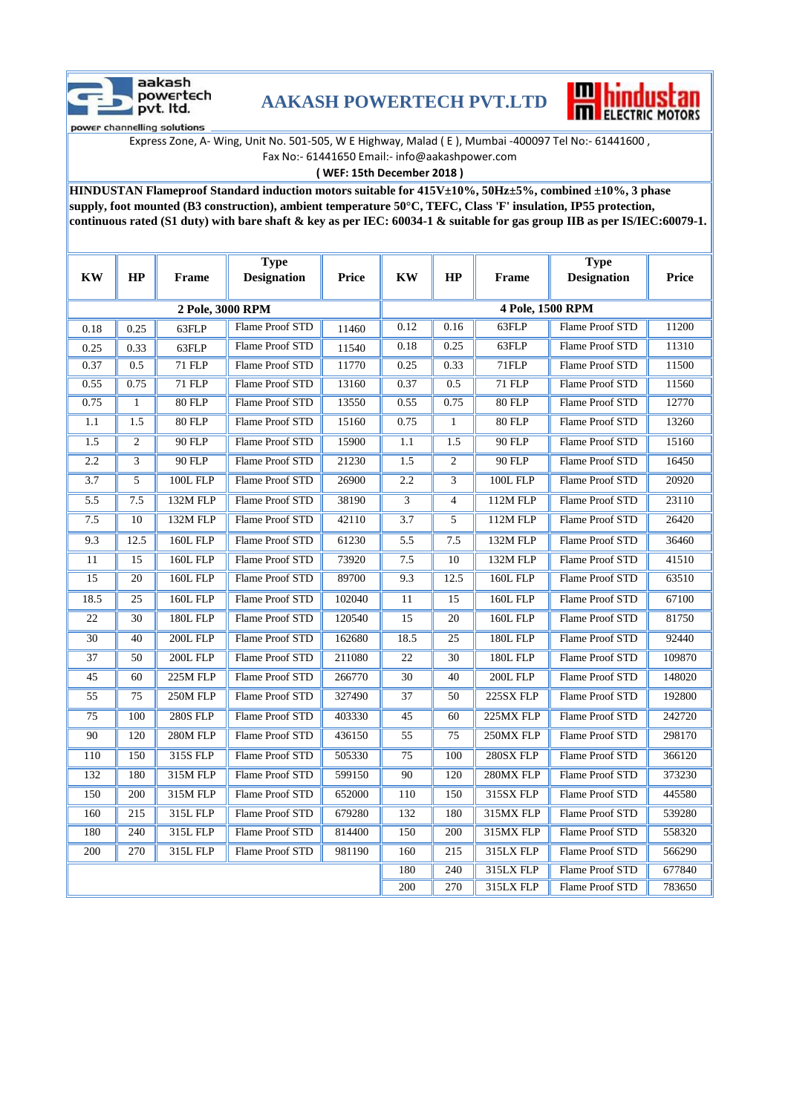

## **AAKASH POWERTECH PVT.LTD**



Express Zone, A- Wing, Unit No. 501-505, W E Highway, Malad ( E ), Mumbai -400097 Tel No:- 61441600 , Fax No:- 61441650 Email:- info@aakashpower.com

**( WEF: 15th December 2018 )**

**HINDUSTAN Flameproof Standard induction motors suitable for 415V±10%, 50Hz±5%, combined ±10%, 3 phase supply, foot mounted (B3 construction), ambient temperature 50°C, TEFC, Class 'F' insulation, IP55 protection, continuous rated (S1 duty) with bare shaft & key as per IEC: 60034-1 & suitable for gas group IIB as per IS/IEC:60079-1.**

| <b>KW</b>        | HP             | <b>Frame</b>    | <b>Type</b><br><b>Designation</b> | Price  | <b>KW</b>        | HP             | Frame           | <b>Type</b><br><b>Designation</b> | Price  |
|------------------|----------------|-----------------|-----------------------------------|--------|------------------|----------------|-----------------|-----------------------------------|--------|
|                  |                |                 |                                   |        |                  |                |                 |                                   |        |
| 2 Pole, 3000 RPM |                |                 |                                   |        | 4 Pole, 1500 RPM |                |                 |                                   |        |
| 0.18             | 0.25           | 63FLP           | Flame Proof STD                   | 11460  | 0.12             | 0.16           | 63FLP           | Flame Proof STD                   | 11200  |
| 0.25             | 0.33           | 63FLP           | Flame Proof STD                   | 11540  | 0.18             | 0.25           | 63FLP           | Flame Proof STD                   | 11310  |
| 0.37             | 0.5            | 71 FLP          | Flame Proof STD                   | 11770  | 0.25             | 0.33           | 71FLP           | Flame Proof STD                   | 11500  |
| 0.55             | 0.75           | 71 FLP          | Flame Proof STD                   | 13160  | 0.37             | 0.5            | <b>71 FLP</b>   | Flame Proof STD                   | 11560  |
| 0.75             | $\mathbf{1}$   | <b>80 FLP</b>   | Flame Proof STD                   | 13550  | 0.55             | 0.75           | <b>80 FLP</b>   | Flame Proof STD                   | 12770  |
| 1.1              | 1.5            | 80 FLP          | Flame Proof STD                   | 15160  | 0.75             | $\mathbf{1}$   | 80 FLP          | Flame Proof STD                   | 13260  |
| 1.5              | $\overline{2}$ | 90 FLP          | Flame Proof STD                   | 15900  | 1.1              | 1.5            | 90 FLP          | Flame Proof STD                   | 15160  |
| 2.2              | 3              | 90 FLP          | Flame Proof STD                   | 21230  | 1.5              | 2              | 90 FLP          | Flame Proof STD                   | 16450  |
| 3.7              | 5              | <b>100L FLP</b> | Flame Proof STD                   | 26900  | 2.2              | 3              | 100L FLP        | Flame Proof STD                   | 20920  |
| 5.5              | 7.5            | 132M FLP        | <b>Flame Proof STD</b>            | 38190  | 3                | $\overline{4}$ | 112M FLP        | <b>Flame Proof STD</b>            | 23110  |
| 7.5              | 10             | 132M FLP        | Flame Proof STD                   | 42110  | 3.7              | 5              | 112M FLP        | Flame Proof STD                   | 26420  |
| 9.3              | 12.5           | <b>160L FLP</b> | Flame Proof STD                   | 61230  | 5.5              | 7.5            | 132M FLP        | Flame Proof STD                   | 36460  |
| 11               | 15             | <b>160L FLP</b> | Flame Proof STD                   | 73920  | 7.5              | 10             | 132M FLP        | Flame Proof STD                   | 41510  |
| $\overline{15}$  | 20             | <b>160L FLP</b> | Flame Proof STD                   | 89700  | 9.3              | 12.5           | <b>160L FLP</b> | Flame Proof STD                   | 63510  |
| 18.5             | 25             | <b>160L FLP</b> | Flame Proof STD                   | 102040 | 11               | 15             | <b>160L FLP</b> | Flame Proof STD                   | 67100  |
| 22               | 30             | <b>180L FLP</b> | Flame Proof STD                   | 120540 | 15               | 20             | <b>160L FLP</b> | Flame Proof STD                   | 81750  |
| 30               | 40             | 200L FLP        | Flame Proof STD                   | 162680 | 18.5             | 25             | <b>180L FLP</b> | <b>Flame Proof STD</b>            | 92440  |
| 37               | 50             | 200L FLP        | Flame Proof STD                   | 211080 | 22               | 30             | <b>180L FLP</b> | Flame Proof STD                   | 109870 |
| 45               | 60             | 225M FLP        | Flame Proof STD                   | 266770 | 30               | 40             | 200L FLP        | Flame Proof STD                   | 148020 |
| 55               | 75             | 250M FLP        | Flame Proof STD                   | 327490 | 37               | 50             | 225SX FLP       | Flame Proof STD                   | 192800 |
| 75               | 100            | <b>280S FLP</b> | Flame Proof STD                   | 403330 | 45               | 60             | 225MX FLP       | Flame Proof STD                   | 242720 |
| 90               | 120            | 280M FLP        | Flame Proof STD                   | 436150 | 55               | 75             | 250MX FLP       | Flame Proof STD                   | 298170 |
| 110              | 150            | 315S FLP        | Flame Proof STD                   | 505330 | 75               | 100            | 280SX FLP       | Flame Proof STD                   | 366120 |
| 132              | 180            | 315M FLP        | Flame Proof STD                   | 599150 | 90               | 120            | 280MX FLP       | Flame Proof STD                   | 373230 |
| 150              | 200            | 315M FLP        | Flame Proof STD                   | 652000 | 110              | 150            | 315SX FLP       | Flame Proof STD                   | 445580 |
| 160              | 215            | 315L FLP        | Flame Proof STD                   | 679280 | 132              | 180            | 315MX FLP       | Flame Proof STD                   | 539280 |
| 180              | 240            | 315L FLP        | Flame Proof STD                   | 814400 | 150              | 200            | 315MX FLP       | Flame Proof STD                   | 558320 |
| 200              | 270            | 315L FLP        | Flame Proof STD                   | 981190 | 160              | 215            | 315LX FLP       | Flame Proof STD                   | 566290 |
|                  |                |                 |                                   |        | 180              | 240            | 315LX FLP       | Flame Proof STD                   | 677840 |
|                  |                |                 |                                   |        | 200              | 270            | 315LX FLP       | Flame Proof STD                   | 783650 |